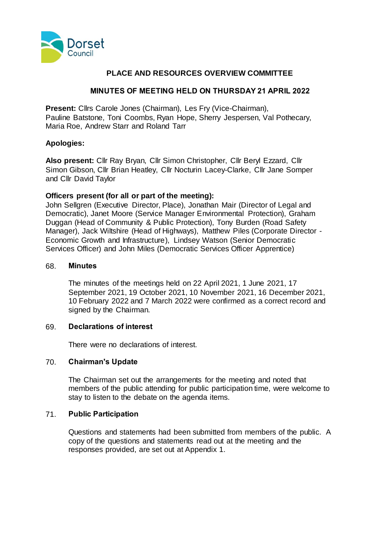

# **PLACE AND RESOURCES OVERVIEW COMMITTEE**

#### **MINUTES OF MEETING HELD ON THURSDAY 21 APRIL 2022**

**Present:** Cllrs Carole Jones (Chairman), Les Fry (Vice-Chairman), Pauline Batstone, Toni Coombs, Ryan Hope, Sherry Jespersen, Val Pothecary, Maria Roe, Andrew Starr and Roland Tarr

#### **Apologies:**

**Also present:** Cllr Ray Bryan, Cllr Simon Christopher, Cllr Beryl Ezzard, Cllr Simon Gibson, Cllr Brian Heatley, Cllr Nocturin Lacey-Clarke, Cllr Jane Somper and Cllr David Taylor

#### **Officers present (for all or part of the meeting):**

John Sellgren (Executive Director, Place), Jonathan Mair (Director of Legal and Democratic), Janet Moore (Service Manager Environmental Protection), Graham Duggan (Head of Community & Public Protection), Tony Burden (Road Safety Manager), Jack Wiltshire (Head of Highways), Matthew Piles (Corporate Director - Economic Growth and Infrastructure), Lindsey Watson (Senior Democratic Services Officer) and John Miles (Democratic Services Officer Apprentice)

#### 68. **Minutes**

The minutes of the meetings held on 22 April 2021, 1 June 2021, 17 September 2021, 19 October 2021, 10 November 2021, 16 December 2021, 10 February 2022 and 7 March 2022 were confirmed as a correct record and signed by the Chairman.

#### 69. **Declarations of interest**

There were no declarations of interest.

#### 70. **Chairman's Update**

The Chairman set out the arrangements for the meeting and noted that members of the public attending for public participation time, were welcome to stay to listen to the debate on the agenda items.

#### 71. **Public Participation**

Questions and statements had been submitted from members of the public. A copy of the questions and statements read out at the meeting and the responses provided, are set out at Appendix 1.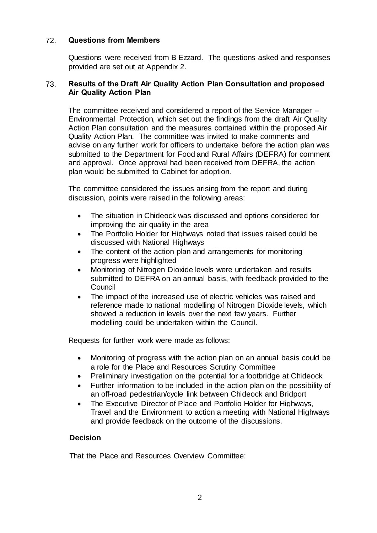# 72. **Questions from Members**

Questions were received from B Ezzard. The questions asked and responses provided are set out at Appendix 2.

#### 73. **Results of the Draft Air Quality Action Plan Consultation and proposed Air Quality Action Plan**

The committee received and considered a report of the Service Manager – Environmental Protection, which set out the findings from the draft Air Quality Action Plan consultation and the measures contained within the proposed Air Quality Action Plan. The committee was invited to make comments and advise on any further work for officers to undertake before the action plan was submitted to the Department for Food and Rural Affairs (DEFRA) for comment and approval. Once approval had been received from DEFRA, the action plan would be submitted to Cabinet for adoption.

The committee considered the issues arising from the report and during discussion, points were raised in the following areas:

- The situation in Chideock was discussed and options considered for improving the air quality in the area
- The Portfolio Holder for Highways noted that issues raised could be discussed with National Highways
- The content of the action plan and arrangements for monitoring progress were highlighted
- Monitoring of Nitrogen Dioxide levels were undertaken and results submitted to DEFRA on an annual basis, with feedback provided to the Council
- The impact of the increased use of electric vehicles was raised and reference made to national modelling of Nitrogen Dioxide levels, which showed a reduction in levels over the next few years. Further modelling could be undertaken within the Council.

Requests for further work were made as follows:

- Monitoring of progress with the action plan on an annual basis could be a role for the Place and Resources Scrutiny Committee
- Preliminary investigation on the potential for a footbridge at Chideock
- Further information to be included in the action plan on the possibility of an off-road pedestrian/cycle link between Chideock and Bridport
- The Executive Director of Place and Portfolio Holder for Highways, Travel and the Environment to action a meeting with National Highways and provide feedback on the outcome of the discussions.

#### **Decision**

That the Place and Resources Overview Committee: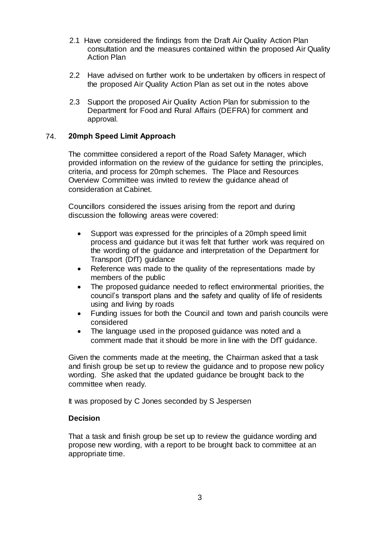- 2.1 Have considered the findings from the Draft Air Quality Action Plan consultation and the measures contained within the proposed Air Quality Action Plan
- 2.2 Have advised on further work to be undertaken by officers in respect of the proposed Air Quality Action Plan as set out in the notes above
- 2.3 Support the proposed Air Quality Action Plan for submission to the Department for Food and Rural Affairs (DEFRA) for comment and approval.

# 74. **20mph Speed Limit Approach**

The committee considered a report of the Road Safety Manager, which provided information on the review of the guidance for setting the principles, criteria, and process for 20mph schemes. The Place and Resources Overview Committee was invited to review the guidance ahead of consideration at Cabinet.

Councillors considered the issues arising from the report and during discussion the following areas were covered:

- Support was expressed for the principles of a 20mph speed limit process and guidance but it was felt that further work was required on the wording of the guidance and interpretation of the Department for Transport (DfT) guidance
- Reference was made to the quality of the representations made by members of the public
- The proposed guidance needed to reflect environmental priorities, the council's transport plans and the safety and quality of life of residents using and living by roads
- Funding issues for both the Council and town and parish councils were considered
- The language used in the proposed guidance was noted and a comment made that it should be more in line with the DfT guidance.

Given the comments made at the meeting, the Chairman asked that a task and finish group be set up to review the guidance and to propose new policy wording. She asked that the updated guidance be brought back to the committee when ready.

It was proposed by C Jones seconded by S Jespersen

#### **Decision**

That a task and finish group be set up to review the guidance wording and propose new wording, with a report to be brought back to committee at an appropriate time.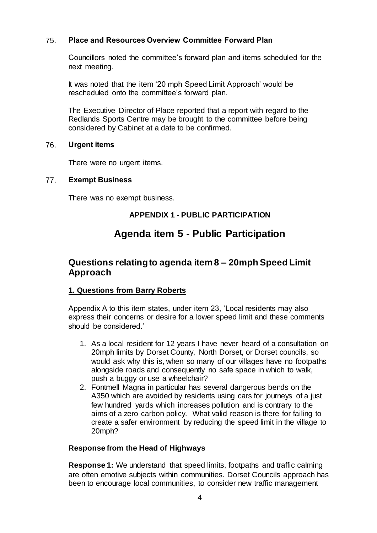# 75. **Place and Resources Overview Committee Forward Plan**

Councillors noted the committee's forward plan and items scheduled for the next meeting.

It was noted that the item '20 mph Speed Limit Approach' would be rescheduled onto the committee's forward plan.

The Executive Director of Place reported that a report with regard to the Redlands Sports Centre may be brought to the committee before being considered by Cabinet at a date to be confirmed.

#### 76. **Urgent items**

There were no urgent items.

#### 77. **Exempt Business**

There was no exempt business.

# **APPENDIX 1 - PUBLIC PARTICIPATION**

# **Agenda item 5 - Public Participation**

# **Questions relating to agenda item 8 – 20mph Speed Limit Approach**

#### **1. Questions from Barry Roberts**

Appendix A to this item states, under item 23, 'Local residents may also express their concerns or desire for a lower speed limit and these comments should be considered.'

- 1. As a local resident for 12 years I have never heard of a consultation on 20mph limits by Dorset County, North Dorset, or Dorset councils, so would ask why this is, when so many of our villages have no footpaths alongside roads and consequently no safe space in which to walk, push a buggy or use a wheelchair?
- 2. Fontmell Magna in particular has several dangerous bends on the A350 which are avoided by residents using cars for journeys of a just few hundred yards which increases pollution and is contrary to the aims of a zero carbon policy. What valid reason is there for failing to create a safer environment by reducing the speed limit in the village to 20mph?

#### **Response from the Head of Highways**

**Response 1:** We understand that speed limits, footpaths and traffic calming are often emotive subjects within communities. Dorset Councils approach has been to encourage local communities, to consider new traffic management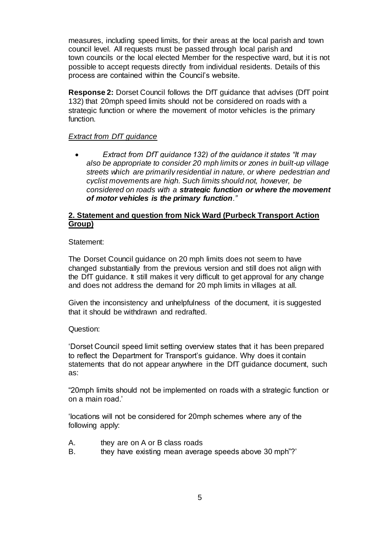measures, including speed limits, for their areas at the local parish and town council level. All requests must be passed through local parish and town councils or the local elected Member for the respective ward, but it is not possible to accept requests directly from individual residents. Details of this process are contained within the Council's website.

**Response 2:** Dorset Council follows the DfT guidance that advises (DfT point 132) that 20mph speed limits should not be considered on roads with a strategic function or where the movement of motor vehicles is the primary function.

# *Extract from DfT guidance*

 *Extract from DfT guidance 132) of the guidance it states "It may also be appropriate to consider 20 mph limits or zones in built-up village streets which are primarily residential in nature, or where pedestrian and cyclist movements are high. Such limits should not, however, be considered on roads with a strategic function or where the movement of motor vehicles is the primary function."* 

## **2. Statement and question from Nick Ward (Purbeck Transport Action Group)**

#### Statement:

The Dorset Council guidance on 20 mph limits does not seem to have changed substantially from the previous version and still does not align with the DfT guidance. It still makes it very difficult to get approval for any change and does not address the demand for 20 mph limits in villages at all.

Given the inconsistency and unhelpfulness of the document, it is suggested that it should be withdrawn and redrafted.

#### Question:

'Dorset Council speed limit setting overview states that it has been prepared to reflect the Department for Transport's guidance. Why does it contain statements that do not appear anywhere in the DfT guidance document, such as:

"20mph limits should not be implemented on roads with a strategic function or on a main road.'

'locations will not be considered for 20mph schemes where any of the following apply:

- A. they are on A or B class roads
- B. they have existing mean average speeds above 30 mph<sup>"?'</sup>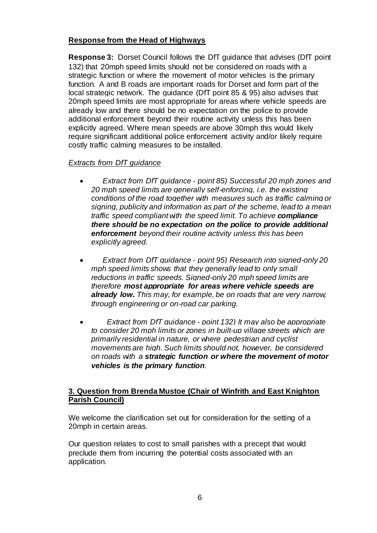# **Response from the Head of Highways**

**Response 3:** Dorset Council follows the DfT guidance that advises (DfT point 132) that 20mph speed limits should not be considered on roads with a strategic function or where the movement of motor vehicles is the primary function. A and B roads are important roads for Dorset and form part of the local strategic network. The guidance (DfT point 85 & 95) also advises that 20mph speed limits are most appropriate for areas where vehicle speeds are already low and there should be no expectation on the police to provide additional enforcement beyond their routine activity unless this has been explicitly agreed. Where mean speeds are above 30mph this would likely require significant additional police enforcement activity and/or likely require costly traffic calming measures to be installed.

# *Extracts from DfT guidance*

- *Extract from DfT guidance - point 85) Successful 20 mph zones and 20 mph speed limits are generally self-enforcing, i.e. the existing conditions of the road together with measures such as traffic calming or signing, publicity and information as part of the scheme, lead to a mean traffic speed compliant with the speed limit. To achieve compliance there should be no expectation on the police to provide additional enforcement beyond their routine activity unless this has been explicitly agreed.*
- *Extract from DfT guidance - point 95) Research into signed-only 20 mph speed limits shows that they generally lead to only small reductions in traffic speeds. Signed-only 20 mph speed limits are therefore most appropriate for areas where vehicle speeds are already low. This may, for example, be on roads that are very narrow, through engineering or on-road car parking.*
- *Extract from DfT guidance - point 132) It may also be appropriate to consider 20 mph limits or zones in built-up village streets which are primarily residential in nature, or where pedestrian and cyclist movements are high. Such limits should not, however, be considered on roads with a strategic function or where the movement of motor vehicles is the primary function.*

# **3. Question from Brenda Mustoe (Chair of Winfrith and East Knighton Parish Council)**

We welcome the clarification set out for consideration for the setting of a 20mph in certain areas.

Our question relates to cost to small parishes with a precept that would preclude them from incurring the potential costs associated with an application.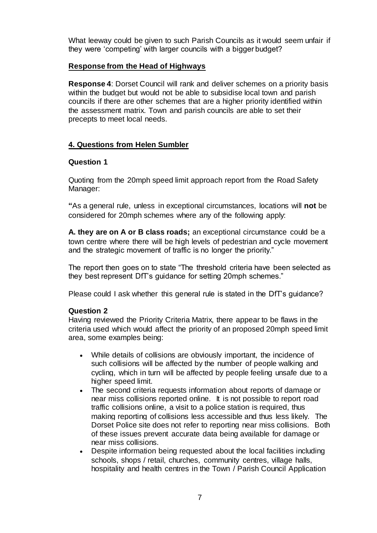What leeway could be given to such Parish Councils as it would seem unfair if they were 'competing' with larger councils with a bigger budget?

# **Response from the Head of Highways**

**Response 4**: Dorset Council will rank and deliver schemes on a priority basis within the budget but would not be able to subsidise local town and parish councils if there are other schemes that are a higher priority identified within the assessment matrix. Town and parish councils are able to set their precepts to meet local needs.

# **4. Questions from Helen Sumbler**

#### **Question 1**

Quoting from the 20mph speed limit approach report from the Road Safety Manager:

**"**As a general rule, unless in exceptional circumstances, locations will **not** be considered for 20mph schemes where any of the following apply:

**A. they are on A or B class roads;** an exceptional circumstance could be a town centre where there will be high levels of pedestrian and cycle movement and the strategic movement of traffic is no longer the priority."

The report then goes on to state "The threshold criteria have been selected as they best represent DfT's guidance for setting 20mph schemes."

Please could I ask whether this general rule is stated in the DfT's guidance?

#### **Question 2**

Having reviewed the Priority Criteria Matrix, there appear to be flaws in the criteria used which would affect the priority of an proposed 20mph speed limit area, some examples being:

- While details of collisions are obviously important, the incidence of such collisions will be affected by the number of people walking and cycling, which in turn will be affected by people feeling unsafe due to a higher speed limit.
- The second criteria requests information about reports of damage or near miss collisions reported online. It is not possible to report road traffic collisions online, a visit to a police station is required, thus making reporting of collisions less accessible and thus less likely. The Dorset Police site does not refer to reporting near miss collisions. Both of these issues prevent accurate data being available for damage or near miss collisions.
- Despite information being requested about the local facilities including schools, shops / retail, churches, community centres, village halls, hospitality and health centres in the Town / Parish Council Application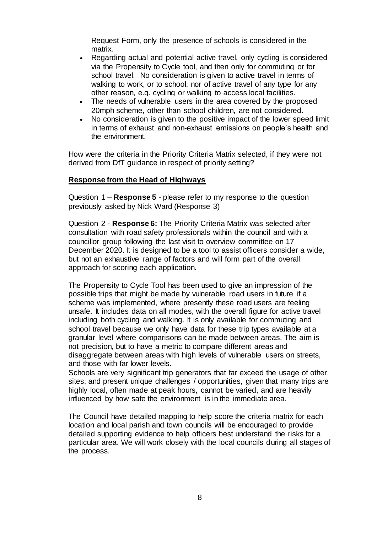Request Form, only the presence of schools is considered in the matrix.

- Regarding actual and potential active travel, only cycling is considered via the Propensity to Cycle tool, and then only for commuting or for school travel. No consideration is given to active travel in terms of walking to work, or to school, nor of active travel of any type for any other reason, e.g. cycling or walking to access local facilities.
- The needs of vulnerable users in the area covered by the proposed 20mph scheme, other than school children, are not considered.
- No consideration is given to the positive impact of the lower speed limit in terms of exhaust and non-exhaust emissions on people's health and the environment.

How were the criteria in the Priority Criteria Matrix selected, if they were not derived from DfT guidance in respect of priority setting?

# **Response from the Head of Highways**

Question 1 – **Response 5** - please refer to my response to the question previously asked by Nick Ward (Response 3)

Question 2 - **Response 6:** The Priority Criteria Matrix was selected after consultation with road safety professionals within the council and with a councillor group following the last visit to overview committee on 17 December 2020. It is designed to be a tool to assist officers consider a wide, but not an exhaustive range of factors and will form part of the overall approach for scoring each application.

The Propensity to Cycle Tool has been used to give an impression of the possible trips that might be made by vulnerable road users in future if a scheme was implemented, where presently these road users are feeling unsafe. It includes data on all modes, with the overall figure for active travel including both cycling and walking. It is only available for commuting and school travel because we only have data for these trip types available at a granular level where comparisons can be made between areas. The aim is not precision, but to have a metric to compare different areas and disaggregate between areas with high levels of vulnerable users on streets, and those with far lower levels.

Schools are very significant trip generators that far exceed the usage of other sites, and present unique challenges / opportunities, given that many trips are highly local, often made at peak hours, cannot be varied, and are heavily influenced by how safe the environment is in the immediate area.

The Council have detailed mapping to help score the criteria matrix for each location and local parish and town councils will be encouraged to provide detailed supporting evidence to help officers best understand the risks for a particular area. We will work closely with the local councils during all stages of the process.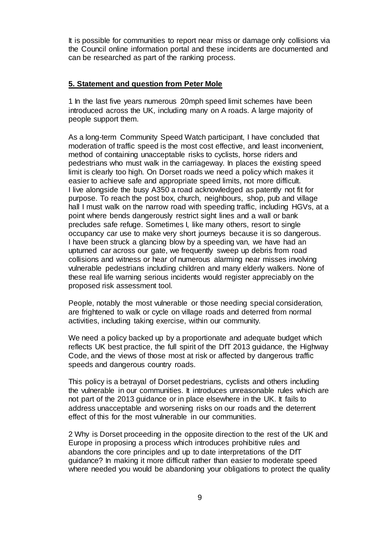It is possible for communities to report near miss or damage only collisions via the Council online information portal and these incidents are documented and can be researched as part of the ranking process.

#### **5. Statement and question from Peter Mole**

1 In the last five years numerous 20mph speed limit schemes have been introduced across the UK, including many on A roads. A large majority of people support them.

As a long-term Community Speed Watch participant, I have concluded that moderation of traffic speed is the most cost effective, and least inconvenient, method of containing unacceptable risks to cyclists, horse riders and pedestrians who must walk in the carriageway. In places the existing speed limit is clearly too high. On Dorset roads we need a policy which makes it easier to achieve safe and appropriate speed limits, not more difficult. I live alongside the busy A350 a road acknowledged as patently not fit for purpose. To reach the post box, church, neighbours, shop, pub and village hall I must walk on the narrow road with speeding traffic, including HGVs, at a point where bends dangerously restrict sight lines and a wall or bank precludes safe refuge. Sometimes I, like many others, resort to single occupancy car use to make very short journeys because it is so dangerous. I have been struck a glancing blow by a speeding van, we have had an upturned car across our gate, we frequently sweep up debris from road collisions and witness or hear of numerous alarming near misses involving vulnerable pedestrians including children and many elderly walkers. None of these real life warning serious incidents would register appreciably on the proposed risk assessment tool.

People, notably the most vulnerable or those needing special consideration, are frightened to walk or cycle on village roads and deterred from normal activities, including taking exercise, within our community.

We need a policy backed up by a proportionate and adequate budget which reflects UK best practice, the full spirit of the DfT 2013 guidance, the Highway Code, and the views of those most at risk or affected by dangerous traffic speeds and dangerous country roads.

This policy is a betrayal of Dorset pedestrians, cyclists and others including the vulnerable in our communities. It introduces unreasonable rules which are not part of the 2013 guidance or in place elsewhere in the UK. It fails to address unacceptable and worsening risks on our roads and the deterrent effect of this for the most vulnerable in our communities.

2 Why is Dorset proceeding in the opposite direction to the rest of the UK and Europe in proposing a process which introduces prohibitive rules and abandons the core principles and up to date interpretations of the DfT guidance? In making it more difficult rather than easier to moderate speed where needed you would be abandoning your obligations to protect the quality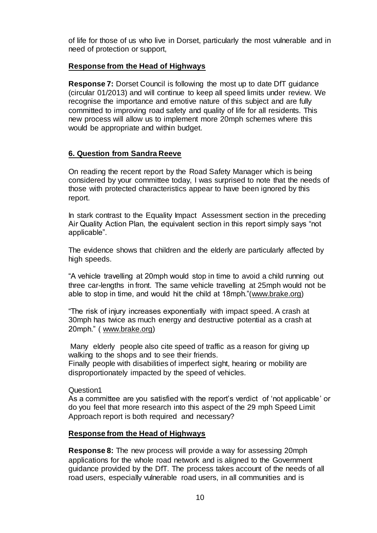of life for those of us who live in Dorset, particularly the most vulnerable and in need of protection or support,

#### **Response from the Head of Highways**

**Response 7:** Dorset Council is following the most up to date DfT guidance (circular 01/2013) and will continue to keep all speed limits under review. We recognise the importance and emotive nature of this subject and are fully committed to improving road safety and quality of life for all residents. This new process will allow us to implement more 20mph schemes where this would be appropriate and within budget.

# **6. Question from Sandra Reeve**

On reading the recent report by the Road Safety Manager which is being considered by your committee today, I was surprised to note that the needs of those with protected characteristics appear to have been ignored by this report.

In stark contrast to the Equality Impact Assessment section in the preceding Air Quality Action Plan, the equivalent section in this report simply says "not applicable".

The evidence shows that children and the elderly are particularly affected by high speeds.

"A vehicle travelling at 20mph would stop in time to avoid a child running out three car-lengths in front. The same vehicle travelling at 25mph would not be able to stop in time, and would hit the child at 18mph."[\(www.brake.org\)](http://www.brake.org/)

"The risk of injury increases exponentially with impact speed. A crash at 30mph has twice as much energy and destructive potential as a crash at 20mph." ( [www.brake.org\)](http://www.brake.org/)

Many elderly people also cite speed of traffic as a reason for giving up walking to the shops and to see their friends.

Finally people with disabilities of imperfect sight, hearing or mobility are disproportionately impacted by the speed of vehicles.

Question1

As a committee are you satisfied with the report's verdict of 'not applicable' or do you feel that more research into this aspect of the 29 mph Speed Limit Approach report is both required and necessary?

# **Response from the Head of Highways**

**Response 8:** The new process will provide a way for assessing 20mph applications for the whole road network and is aligned to the Government guidance provided by the DfT. The process takes account of the needs of all road users, especially vulnerable road users, in all communities and is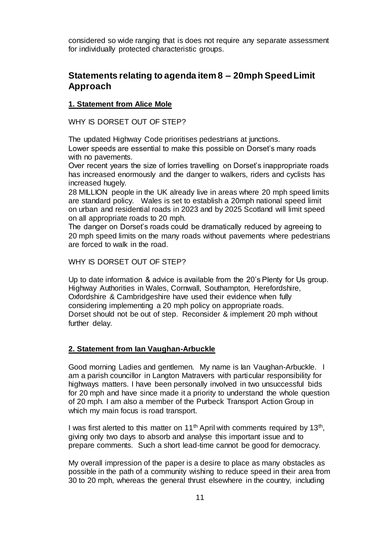considered so wide ranging that is does not require any separate assessment for individually protected characteristic groups.

# **Statements relating to agenda item 8 – 20mph Speed Limit Approach**

# **1. Statement from Alice Mole**

WHY IS DORSET OUT OF STEP?

The updated Highway Code prioritises pedestrians at junctions. Lower speeds are essential to make this possible on Dorset's many roads with no pavements.

Over recent years the size of lorries travelling on Dorset's inappropriate roads has increased enormously and the danger to walkers, riders and cyclists has increased hugely.

28 MILLION people in the UK already live in areas where 20 mph speed limits are standard policy. Wales is set to establish a 20mph national speed limit on urban and residential roads in 2023 and by 2025 Scotland will limit speed on all appropriate roads to 20 mph.

The danger on Dorset's roads could be dramatically reduced by agreeing to 20 mph speed limits on the many roads without pavements where pedestrians are forced to walk in the road.

WHY IS DORSET OUT OF STEP?

Up to date information & advice is available from the 20's Plenty for Us group. Highway Authorities in Wales, Cornwall, Southampton, Herefordshire, Oxfordshire & Cambridgeshire have used their evidence when fully considering implementing a 20 mph policy on appropriate roads. Dorset should not be out of step. Reconsider & implement 20 mph without further delay.

# **2. Statement from Ian Vaughan-Arbuckle**

Good morning Ladies and gentlemen. My name is Ian Vaughan-Arbuckle. I am a parish councillor in Langton Matravers with particular responsibility for highways matters. I have been personally involved in two unsuccessful bids for 20 mph and have since made it a priority to understand the whole question of 20 mph. I am also a member of the Purbeck Transport Action Group in which my main focus is road transport.

I was first alerted to this matter on 11<sup>th</sup> April with comments required by 13<sup>th</sup>, giving only two days to absorb and analyse this important issue and to prepare comments. Such a short lead-time cannot be good for democracy.

My overall impression of the paper is a desire to place as many obstacles as possible in the path of a community wishing to reduce speed in their area from 30 to 20 mph, whereas the general thrust elsewhere in the country, including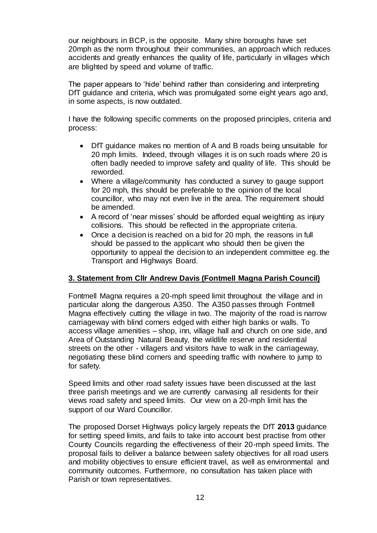our neighbours in BCP, is the opposite. Many shire boroughs have set 20mph as the norm throughout their communities, an approach which reduces accidents and greatly enhances the quality of life, particularly in villages which are blighted by speed and volume of traffic.

The paper appears to 'hide' behind rather than considering and interpreting DfT guidance and criteria, which was promulgated some eight years ago and, in some aspects, is now outdated.

I have the following specific comments on the proposed principles, criteria and process:

- DfT guidance makes no mention of A and B roads being unsuitable for 20 mph limits. Indeed, through villages it is on such roads where 20 is often badly needed to improve safety and quality of life. This should be reworded.
- Where a village/community has conducted a survey to gauge support for 20 mph, this should be preferable to the opinion of the local councillor, who may not even live in the area. The requirement should be amended.
- A record of 'near misses' should be afforded equal weighting as injury collisions. This should be reflected in the appropriate criteria.
- Once a decision is reached on a bid for 20 mph, the reasons in full should be passed to the applicant who should then be given the opportunity to appeal the decision to an independent committee eg. the Transport and Highways Board.

# **3. Statement from Cllr Andrew Davis (Fontmell Magna Parish Council)**

Fontmell Magna requires a 20-mph speed limit throughout the village and in particular along the dangerous A350. The A350 passes through Fontmell Magna effectively cutting the village in two. The majority of the road is narrow carriageway with blind corners edged with either high banks or walls. To access village amenities – shop, inn, village hall and church on one side, and Area of Outstanding Natural Beauty, the wildlife reserve and residential streets on the other - villagers and visitors have to walk in the carriageway, negotiating these blind corners and speeding traffic with nowhere to jump to for safety.

Speed limits and other road safety issues have been discussed at the last three parish meetings and we are currently canvasing all residents for their views road safety and speed limits. Our view on a 20-mph limit has the support of our Ward Councillor.

The proposed Dorset Highways policy largely repeats the DfT **2013** guidance for setting speed limits, and fails to take into account best practise from other County Councils regarding the effectiveness of their 20-mph speed limits. The proposal fails to deliver a balance between safety objectives for all road users and mobility objectives to ensure efficient travel, as well as environmental and community outcomes. Furthermore, no consultation has taken place with Parish or town representatives.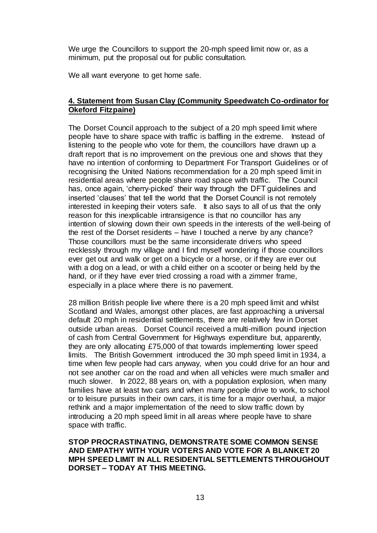We urge the Councillors to support the 20-mph speed limit now or, as a minimum, put the proposal out for public consultation.

We all want everyone to get home safe.

# **4. Statement from Susan Clay (Community Speedwatch Co-ordinator for Okeford Fitzpaine)**

The Dorset Council approach to the subject of a 20 mph speed limit where people have to share space with traffic is baffling in the extreme. Instead of listening to the people who vote for them, the councillors have drawn up a draft report that is no improvement on the previous one and shows that they have no intention of conforming to Department For Transport Guidelines or of recognising the United Nations recommendation for a 20 mph speed limit in residential areas where people share road space with traffic. The Council has, once again, 'cherry-picked' their way through the DFT guidelines and inserted 'clauses' that tell the world that the Dorset Council is not remotely interested in keeping their voters safe. It also says to all of us that the only reason for this inexplicable intransigence is that no councillor has any intention of slowing down their own speeds in the interests of the well-being of the rest of the Dorset residents – have I touched a nerve by any chance? Those councillors must be the same inconsiderate drivers who speed recklessly through my village and I find myself wondering if those councillors ever get out and walk or get on a bicycle or a horse, or if they are ever out with a dog on a lead, or with a child either on a scooter or being held by the hand, or if they have ever tried crossing a road with a zimmer frame, especially in a place where there is no pavement.

28 million British people live where there is a 20 mph speed limit and whilst Scotland and Wales, amongst other places, are fast approaching a universal default 20 mph in residential settlements, there are relatively few in Dorset outside urban areas. Dorset Council received a multi-million pound injection of cash from Central Government for Highways expenditure but, apparently, they are only allocating £75,000 of that towards implementing lower speed limits. The British Government introduced the 30 mph speed limit in 1934, a time when few people had cars anyway, when you could drive for an hour and not see another car on the road and when all vehicles were much smaller and much slower. In 2022, 88 years on, with a population explosion, when many families have at least two cars and when many people drive to work, to school or to leisure pursuits in their own cars, it is time for a major overhaul, a major rethink and a major implementation of the need to slow traffic down by introducing a 20 mph speed limit in all areas where people have to share space with traffic.

#### **STOP PROCRASTINATING, DEMONSTRATE SOME COMMON SENSE AND EMPATHY WITH YOUR VOTERS AND VOTE FOR A BLANKET 20 MPH SPEED LIMIT IN ALL RESIDENTIAL SETTLEMENTS THROUGHOUT DORSET – TODAY AT THIS MEETING.**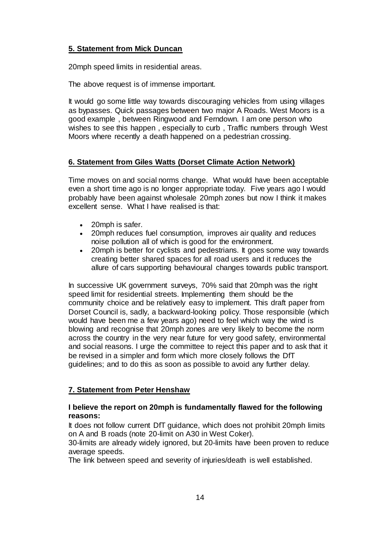# **5. Statement from Mick Duncan**

20mph speed limits in residential areas.

The above request is of immense important.

It would go some little way towards discouraging vehicles from using villages as bypasses. Quick passages between two major A Roads. West Moors is a good example , between Ringwood and Ferndown. I am one person who wishes to see this happen , especially to curb , Traffic numbers through West Moors where recently a death happened on a pedestrian crossing.

# **6. Statement from Giles Watts (Dorset Climate Action Network)**

Time moves on and social norms change. What would have been acceptable even a short time ago is no longer appropriate today. Five years ago I would probably have been against wholesale 20mph zones but now I think it makes excellent sense. What I have realised is that:

- 20mph is safer.
- 20mph reduces fuel consumption, improves air quality and reduces noise pollution all of which is good for the environment.
- 20mph is better for cyclists and pedestrians. It goes some way towards creating better shared spaces for all road users and it reduces the allure of cars supporting behavioural changes towards public transport.

In successive UK government surveys, 70% said that 20mph was the right speed limit for residential streets. Implementing them should be the community choice and be relatively easy to implement. This draft paper from Dorset Council is, sadly, a backward-looking policy. Those responsible (which would have been me a few years ago) need to feel which way the wind is blowing and recognise that 20mph zones are very likely to become the norm across the country in the very near future for very good safety, environmental and social reasons. I urge the committee to reject this paper and to ask that it be revised in a simpler and form which more closely follows the DfT guidelines; and to do this as soon as possible to avoid any further delay.

# **7. Statement from Peter Henshaw**

# **I believe the report on 20mph is fundamentally flawed for the following reasons:**

It does not follow current DfT guidance, which does not prohibit 20mph limits on A and B roads (note 20-limit on A30 in West Coker).

30-limits are already widely ignored, but 20-limits have been proven to reduce average speeds.

The link between speed and severity of injuries/death is well established.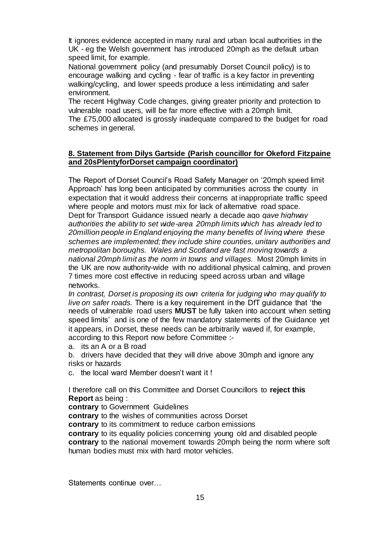It ignores evidence accepted in many rural and urban local authorities in the UK - eg the Welsh government has introduced 20mph as the default urban speed limit, for example.

National government policy (and presumably Dorset Council policy) is to encourage walking and cycling - fear of traffic is a key factor in preventing walking/cycling, and lower speeds produce a less intimidating and safer environment.

The recent Highway Code changes, giving greater priority and protection to vulnerable road users, will be far more effective with a 20mph limit. The £75,000 allocated is grossly inadequate compared to the budget for road schemes in general.

## **8. Statement from Dilys Gartside (Parish councillor for Okeford Fitzpaine and 20sPlentyforDorset campaign coordinator)**

The Report of Dorset Council's Road Safety Manager on '20mph speed limit Approach' has long been anticipated by communities across the county in expectation that it would address their concerns at inappropriate traffic speed where people and motors must mix for lack of alternative road space. Dept for Transport Guidance issued nearly a decade ago *gave highway authorities the ability to set wide-area 20mph limits which has already led to 20million people in England enjoying the many benefits of living where these schemes are implemented; they include shire counties, unitary authorities and metropolitan boroughs. Wales and Scotland are fast moving towards a national 20mph limit as the norm in towns and villages.* Most 20mph limits in the UK are now authority-wide with no additional physical calming, and proven 7 times more cost effective in reducing speed across urban and village networks.

*In contrast, Dorset is proposing its own criteria for judging who may qualify to live on safer roads.* There is a key requirement in the DfT guidance that 'the needs of vulnerable road users **MUST** be fully taken into account when setting speed limits' and is one of the few mandatory statements of the Guidance yet it appears, in Dorset, these needs can be arbitrarily waved if, for example, according to this Report now before Committee :-

a. its an A or a B road

b. drivers have decided that they will drive above 30mph and ignore any risks or hazards

c. the local ward Member doesn't want it !

I therefore call on this Committee and Dorset Councillors to **reject this Report** as being :

**contrary** to Government Guidelines

**contrary** to the wishes of communities across Dorset

**contrary** to its commitment to reduce carbon emissions

**contrary** to its equality policies concerning young old and disabled people **contrary** to the national movement towards 20mph being the norm where soft human bodies must mix with hard motor vehicles.

Statements continue over…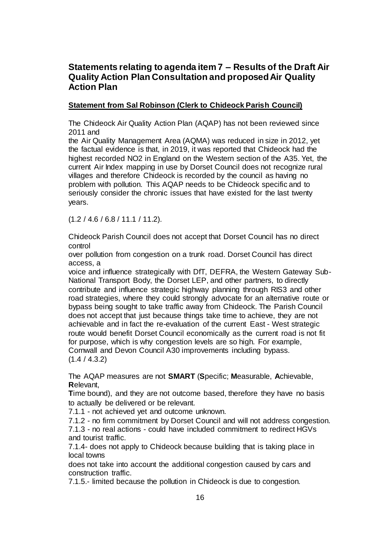# **Statements relating to agenda item 7 – Results of the Draft Air Quality Action Plan Consultation and proposed Air Quality Action Plan**

# **Statement from Sal Robinson (Clerk to Chideock Parish Council)**

The Chideock Air Quality Action Plan (AQAP) has not been reviewed since 2011 and

the Air Quality Management Area (AQMA) was reduced in size in 2012, yet the factual evidence is that, in 2019, it was reported that Chideock had the highest recorded NO2 in England on the Western section of the A35. Yet, the current Air Index mapping in use by Dorset Council does not recognize rural villages and therefore Chideock is recorded by the council as having no problem with pollution. This AQAP needs to be Chideock specific and to seriously consider the chronic issues that have existed for the last twenty years.

(1.2 / 4.6 / 6.8 / 11.1 / 11.2).

Chideock Parish Council does not accept that Dorset Council has no direct control

over pollution from congestion on a trunk road. Dorset Council has direct access, a

voice and influence strategically with DfT, DEFRA, the Western Gateway Sub-National Transport Body, the Dorset LEP, and other partners, to directly contribute and influence strategic highway planning through RIS3 and other road strategies, where they could strongly advocate for an alternative route or bypass being sought to take traffic away from Chideock. The Parish Council does not accept that just because things take time to achieve, they are not achievable and in fact the re-evaluation of the current East - West strategic route would benefit Dorset Council economically as the current road is not fit for purpose, which is why congestion levels are so high. For example, Cornwall and Devon Council A30 improvements including bypass.  $(1.4 / 4.3.2)$ 

The AQAP measures are not **SMART** (**S**pecific; **M**easurable, **A**chievable, **R**elevant,

**T**ime bound), and they are not outcome based, therefore they have no basis to actually be delivered or be relevant.

7.1.1 - not achieved yet and outcome unknown.

7.1.2 - no firm commitment by Dorset Council and will not address congestion.

7.1.3 - no real actions - could have included commitment to redirect HGVs and tourist traffic.

7.1.4- does not apply to Chideock because building that is taking place in local towns

does not take into account the additional congestion caused by cars and construction traffic.

7.1.5.- limited because the pollution in Chideock is due to congestion.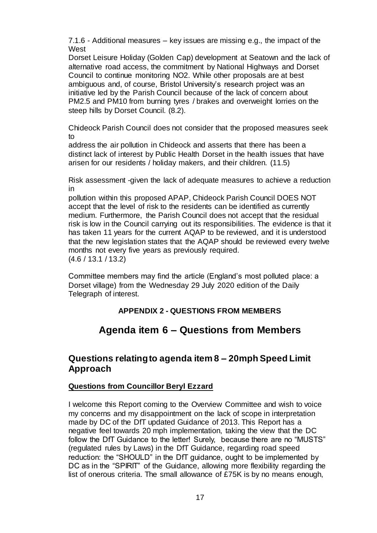7.1.6 - Additional measures – key issues are missing e.g., the impact of the West

Dorset Leisure Holiday (Golden Cap) development at Seatown and the lack of alternative road access, the commitment by National Highways and Dorset Council to continue monitoring NO2. While other proposals are at best ambiguous and, of course, Bristol University's research project was an initiative led by the Parish Council because of the lack of concern about PM2.5 and PM10 from burning tyres / brakes and overweight lorries on the steep hills by Dorset Council. (8.2).

Chideock Parish Council does not consider that the proposed measures seek to

address the air pollution in Chideock and asserts that there has been a distinct lack of interest by Public Health Dorset in the health issues that have arisen for our residents / holiday makers, and their children. (11.5)

Risk assessment -given the lack of adequate measures to achieve a reduction in

pollution within this proposed APAP, Chideock Parish Council DOES NOT accept that the level of risk to the residents can be identified as currently medium. Furthermore, the Parish Council does not accept that the residual risk is low in the Council carrying out its responsibilities. The evidence is that it has taken 11 years for the current AQAP to be reviewed, and it is understood that the new legislation states that the AQAP should be reviewed every twelve months not every five years as previously required. (4.6 / 13.1 / 13.2)

Committee members may find the article (England's most polluted place: a Dorset village) from the Wednesday 29 July 2020 edition of the Daily Telegraph of interest.

# **APPENDIX 2 - QUESTIONS FROM MEMBERS**

# **Agenda item 6 – Questions from Members**

# **Questions relating to agenda item 8 – 20mph Speed Limit Approach**

# **Questions from Councillor Beryl Ezzard**

I welcome this Report coming to the Overview Committee and wish to voice my concerns and my disappointment on the lack of scope in interpretation made by DC of the DfT updated Guidance of 2013. This Report has a negative feel towards 20 mph implementation, taking the view that the DC follow the DfT Guidance to the letter! Surely, because there are no "MUSTS" (regulated rules by Laws) in the DfT Guidance, regarding road speed reduction: the "SHOULD" in the DfT guidance, ought to be implemented by DC as in the "SPIRIT" of the Guidance, allowing more flexibility regarding the list of onerous criteria. The small allowance of £75K is by no means enough,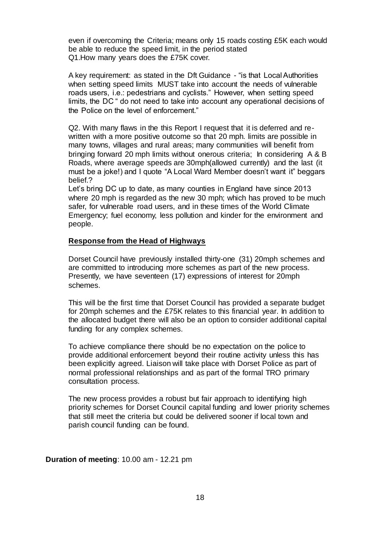even if overcoming the Criteria; means only 15 roads costing £5K each would be able to reduce the speed limit, in the period stated Q1.How many years does the £75K cover.

A key requirement: as stated in the Dft Guidance - "is that Local Authorities when setting speed limits MUST take into account the needs of vulnerable roads users, i.e.: pedestrians and cyclists." However, when setting speed limits, the DC " do not need to take into account any operational decisions of the Police on the level of enforcement."

Q2. With many flaws in the this Report I request that it is deferred and rewritten with a more positive outcome so that 20 mph. limits are possible in many towns, villages and rural areas; many communities will benefit from bringing forward 20 mph limits without onerous criteria; In considering A & B Roads, where average speeds are 30mph(allowed currently) and the last (it must be a joke!) and I quote "A Local Ward Member doesn't want it" beggars belief.?

Let's bring DC up to date, as many counties in England have since 2013 where 20 mph is regarded as the new 30 mph; which has proved to be much safer, for vulnerable road users, and in these times of the World Climate Emergency; fuel economy, less pollution and kinder for the environment and people.

#### **Response from the Head of Highways**

Dorset Council have previously installed thirty-one (31) 20mph schemes and are committed to introducing more schemes as part of the new process. Presently, we have seventeen (17) expressions of interest for 20mph schemes.

This will be the first time that Dorset Council has provided a separate budget for 20mph schemes and the £75K relates to this financial year. In addition to the allocated budget there will also be an option to consider additional capital funding for any complex schemes.

To achieve compliance there should be no expectation on the police to provide additional enforcement beyond their routine activity unless this has been explicitly agreed. Liaison will take place with Dorset Police as part of normal professional relationships and as part of the formal TRO primary consultation process.

The new process provides a robust but fair approach to identifying high priority schemes for Dorset Council capital funding and lower priority schemes that still meet the criteria but could be delivered sooner if local town and parish council funding can be found.

#### **Duration of meeting**: 10.00 am - 12.21 pm